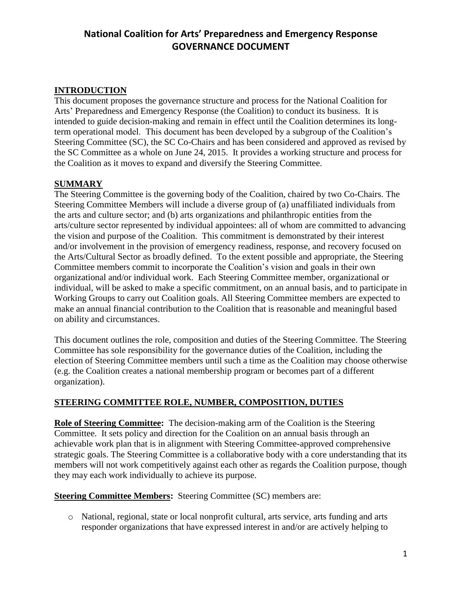### **INTRODUCTION**

This document proposes the governance structure and process for the National Coalition for Arts' Preparedness and Emergency Response (the Coalition) to conduct its business. It is intended to guide decision-making and remain in effect until the Coalition determines its longterm operational model. This document has been developed by a subgroup of the Coalition's Steering Committee (SC), the SC Co-Chairs and has been considered and approved as revised by the SC Committee as a whole on June 24, 2015. It provides a working structure and process for the Coalition as it moves to expand and diversify the Steering Committee.

### **SUMMARY**

The Steering Committee is the governing body of the Coalition, chaired by two Co-Chairs. The Steering Committee Members will include a diverse group of (a) unaffiliated individuals from the arts and culture sector; and (b) arts organizations and philanthropic entities from the arts/culture sector represented by individual appointees: all of whom are committed to advancing the vision and purpose of the Coalition. This commitment is demonstrated by their interest and/or involvement in the provision of emergency readiness, response, and recovery focused on the Arts/Cultural Sector as broadly defined. To the extent possible and appropriate, the Steering Committee members commit to incorporate the Coalition's vision and goals in their own organizational and/or individual work. Each Steering Committee member, organizational or individual, will be asked to make a specific commitment, on an annual basis, and to participate in Working Groups to carry out Coalition goals. All Steering Committee members are expected to make an annual financial contribution to the Coalition that is reasonable and meaningful based on ability and circumstances.

This document outlines the role, composition and duties of the Steering Committee. The Steering Committee has sole responsibility for the governance duties of the Coalition, including the election of Steering Committee members until such a time as the Coalition may choose otherwise (e.g. the Coalition creates a national membership program or becomes part of a different organization).

#### **STEERING COMMITTEE ROLE, NUMBER, COMPOSITION, DUTIES**

**Role of Steering Committee:** The decision-making arm of the Coalition is the Steering Committee. It sets policy and direction for the Coalition on an annual basis through an achievable work plan that is in alignment with Steering Committee-approved comprehensive strategic goals. The Steering Committee is a collaborative body with a core understanding that its members will not work competitively against each other as regards the Coalition purpose, though they may each work individually to achieve its purpose.

**Steering Committee Members:** Steering Committee (SC) members are:

o National, regional, state or local nonprofit cultural, arts service, arts funding and arts responder organizations that have expressed interest in and/or are actively helping to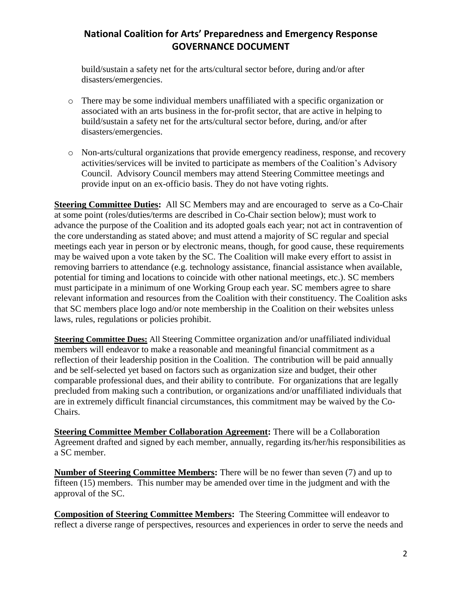build/sustain a safety net for the arts/cultural sector before, during and/or after disasters/emergencies.

- o There may be some individual members unaffiliated with a specific organization or associated with an arts business in the for-profit sector, that are active in helping to build/sustain a safety net for the arts/cultural sector before, during, and/or after disasters/emergencies.
- o Non-arts/cultural organizations that provide emergency readiness, response, and recovery activities/services will be invited to participate as members of the Coalition's Advisory Council. Advisory Council members may attend Steering Committee meetings and provide input on an ex-officio basis. They do not have voting rights.

**Steering Committee Duties:** All SC Members may and are encouraged to serve as a Co-Chair at some point (roles/duties/terms are described in Co-Chair section below); must work to advance the purpose of the Coalition and its adopted goals each year; not act in contravention of the core understanding as stated above; and must attend a majority of SC regular and special meetings each year in person or by electronic means, though, for good cause, these requirements may be waived upon a vote taken by the SC. The Coalition will make every effort to assist in removing barriers to attendance (e.g. technology assistance, financial assistance when available, potential for timing and locations to coincide with other national meetings, etc.). SC members must participate in a minimum of one Working Group each year. SC members agree to share relevant information and resources from the Coalition with their constituency. The Coalition asks that SC members place logo and/or note membership in the Coalition on their websites unless laws, rules, regulations or policies prohibit.

**Steering Committee Dues:** All Steering Committee organization and/or unaffiliated individual members will endeavor to make a reasonable and meaningful financial commitment as a reflection of their leadership position in the Coalition. The contribution will be paid annually and be self-selected yet based on factors such as organization size and budget, their other comparable professional dues, and their ability to contribute. For organizations that are legally precluded from making such a contribution, or organizations and/or unaffiliated individuals that are in extremely difficult financial circumstances, this commitment may be waived by the Co-Chairs.

**Steering Committee Member Collaboration Agreement:** There will be a Collaboration Agreement drafted and signed by each member, annually, regarding its/her/his responsibilities as a SC member.

**Number of Steering Committee Members:** There will be no fewer than seven (7) and up to fifteen (15) members. This number may be amended over time in the judgment and with the approval of the SC.

**Composition of Steering Committee Members:** The Steering Committee will endeavor to reflect a diverse range of perspectives, resources and experiences in order to serve the needs and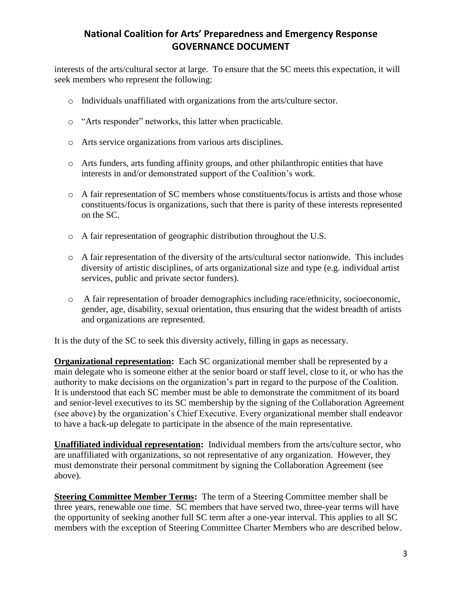interests of the arts/cultural sector at large. To ensure that the SC meets this expectation, it will seek members who represent the following:

- o Individuals unaffiliated with organizations from the arts/culture sector.
- o "Arts responder" networks, this latter when practicable.
- o Arts service organizations from various arts disciplines.
- o Arts funders, arts funding affinity groups, and other philanthropic entities that have interests in and/or demonstrated support of the Coalition's work.
- o A fair representation of SC members whose constituents/focus is artists and those whose constituents/focus is organizations, such that there is parity of these interests represented on the SC.
- o A fair representation of geographic distribution throughout the U.S.
- o A fair representation of the diversity of the arts/cultural sector nationwide. This includes diversity of artistic disciplines, of arts organizational size and type (e.g. individual artist services, public and private sector funders).
- o A fair representation of broader demographics including race/ethnicity, socioeconomic, gender, age, disability, sexual orientation, thus ensuring that the widest breadth of artists and organizations are represented.

It is the duty of the SC to seek this diversity actively, filling in gaps as necessary.

**Organizational representation:** Each SC organizational member shall be represented by a main delegate who is someone either at the senior board or staff level, close to it, or who has the authority to make decisions on the organization's part in regard to the purpose of the Coalition. It is understood that each SC member must be able to demonstrate the commitment of its board and senior-level executives to its SC membership by the signing of the Collaboration Agreement (see above) by the organization's Chief Executive. Every organizational member shall endeavor to have a back-up delegate to participate in the absence of the main representative.

**Unaffiliated individual representation:** Individual members from the arts/culture sector, who are unaffiliated with organizations, so not representative of any organization. However, they must demonstrate their personal commitment by signing the Collaboration Agreement (see above).

**Steering Committee Member Terms:** The term of a Steering Committee member shall be three years, renewable one time. SC members that have served two, three-year terms will have the opportunity of seeking another full SC term after a one-year interval. This applies to all SC members with the exception of Steering Committee Charter Members who are described below.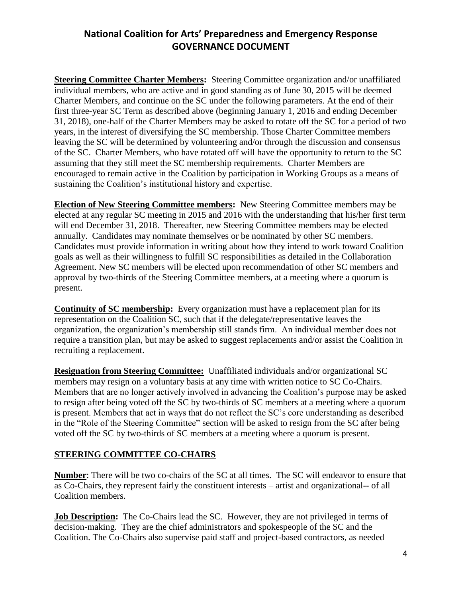**Steering Committee Charter Members:** Steering Committee organization and/or unaffiliated individual members, who are active and in good standing as of June 30, 2015 will be deemed Charter Members, and continue on the SC under the following parameters. At the end of their first three-year SC Term as described above (beginning January 1, 2016 and ending December 31, 2018), one-half of the Charter Members may be asked to rotate off the SC for a period of two years, in the interest of diversifying the SC membership. Those Charter Committee members leaving the SC will be determined by volunteering and/or through the discussion and consensus of the SC. Charter Members, who have rotated off will have the opportunity to return to the SC assuming that they still meet the SC membership requirements. Charter Members are encouraged to remain active in the Coalition by participation in Working Groups as a means of sustaining the Coalition's institutional history and expertise.

**Election of New Steering Committee members:** New Steering Committee members may be elected at any regular SC meeting in 2015 and 2016 with the understanding that his/her first term will end December 31, 2018. Thereafter, new Steering Committee members may be elected annually. Candidates may nominate themselves or be nominated by other SC members. Candidates must provide information in writing about how they intend to work toward Coalition goals as well as their willingness to fulfill SC responsibilities as detailed in the Collaboration Agreement. New SC members will be elected upon recommendation of other SC members and approval by two-thirds of the Steering Committee members, at a meeting where a quorum is present.

**Continuity of SC membership:** Every organization must have a replacement plan for its representation on the Coalition SC, such that if the delegate/representative leaves the organization, the organization's membership still stands firm. An individual member does not require a transition plan, but may be asked to suggest replacements and/or assist the Coalition in recruiting a replacement.

**Resignation from Steering Committee:** Unaffiliated individuals and/or organizational SC members may resign on a voluntary basis at any time with written notice to SC Co-Chairs. Members that are no longer actively involved in advancing the Coalition's purpose may be asked to resign after being voted off the SC by two-thirds of SC members at a meeting where a quorum is present. Members that act in ways that do not reflect the SC's core understanding as described in the "Role of the Steering Committee" section will be asked to resign from the SC after being voted off the SC by two-thirds of SC members at a meeting where a quorum is present.

### **STEERING COMMITTEE CO-CHAIRS**

**Number**: There will be two co-chairs of the SC at all times. The SC will endeavor to ensure that as Co-Chairs, they represent fairly the constituent interests – artist and organizational-- of all Coalition members.

**Job Description:** The Co-Chairs lead the SC. However, they are not privileged in terms of decision-making. They are the chief administrators and spokespeople of the SC and the Coalition. The Co-Chairs also supervise paid staff and project-based contractors, as needed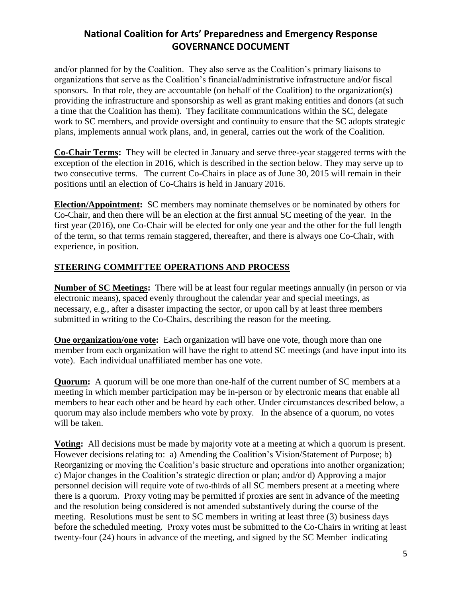and/or planned for by the Coalition. They also serve as the Coalition's primary liaisons to organizations that serve as the Coalition's financial/administrative infrastructure and/or fiscal sponsors. In that role, they are accountable (on behalf of the Coalition) to the organization(s) providing the infrastructure and sponsorship as well as grant making entities and donors (at such a time that the Coalition has them). They facilitate communications within the SC, delegate work to SC members, and provide oversight and continuity to ensure that the SC adopts strategic plans, implements annual work plans, and, in general, carries out the work of the Coalition.

**Co-Chair Terms:** They will be elected in January and serve three-year staggered terms with the exception of the election in 2016, which is described in the section below. They may serve up to two consecutive terms. The current Co-Chairs in place as of June 30, 2015 will remain in their positions until an election of Co-Chairs is held in January 2016.

**Election/Appointment:** SC members may nominate themselves or be nominated by others for Co-Chair, and then there will be an election at the first annual SC meeting of the year. In the first year (2016), one Co-Chair will be elected for only one year and the other for the full length of the term, so that terms remain staggered, thereafter, and there is always one Co-Chair, with experience, in position.

### **STEERING COMMITTEE OPERATIONS AND PROCESS**

**Number of SC Meetings:** There will be at least four regular meetings annually (in person or via electronic means), spaced evenly throughout the calendar year and special meetings, as necessary, e.g., after a disaster impacting the sector, or upon call by at least three members submitted in writing to the Co-Chairs, describing the reason for the meeting.

**One organization/one vote:** Each organization will have one vote, though more than one member from each organization will have the right to attend SC meetings (and have input into its vote). Each individual unaffiliated member has one vote.

**Quorum:** A quorum will be one more than one-half of the current number of SC members at a meeting in which member participation may be in-person or by electronic means that enable all members to hear each other and be heard by each other. Under circumstances described below, a quorum may also include members who vote by proxy. In the absence of a quorum, no votes will be taken.

**Voting:** All decisions must be made by majority vote at a meeting at which a quorum is present. However decisions relating to: a) Amending the Coalition's Vision/Statement of Purpose; b) Reorganizing or moving the Coalition's basic structure and operations into another organization; c) Major changes in the Coalition's strategic direction or plan; and/or d) Approving a major personnel decision will require vote of two-thirds of all SC members present at a meeting where there is a quorum. Proxy voting may be permitted if proxies are sent in advance of the meeting and the resolution being considered is not amended substantively during the course of the meeting. Resolutions must be sent to SC members in writing at least three (3) business days before the scheduled meeting. Proxy votes must be submitted to the Co-Chairs in writing at least twenty-four (24) hours in advance of the meeting, and signed by the SC Member indicating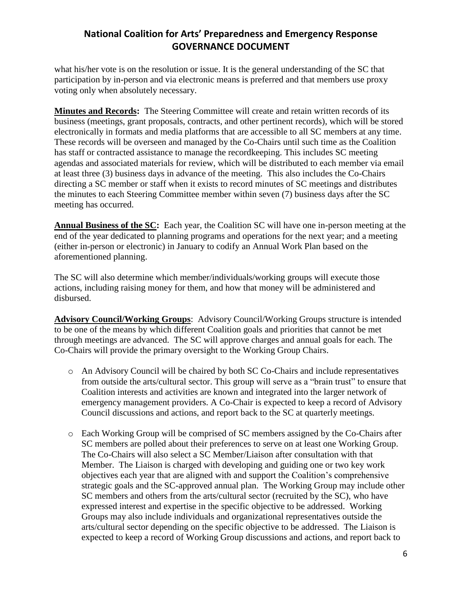what his/her vote is on the resolution or issue. It is the general understanding of the SC that participation by in-person and via electronic means is preferred and that members use proxy voting only when absolutely necessary.

**Minutes and Records:** The Steering Committee will create and retain written records of its business (meetings, grant proposals, contracts, and other pertinent records), which will be stored electronically in formats and media platforms that are accessible to all SC members at any time. These records will be overseen and managed by the Co-Chairs until such time as the Coalition has staff or contracted assistance to manage the recordkeeping. This includes SC meeting agendas and associated materials for review, which will be distributed to each member via email at least three (3) business days in advance of the meeting. This also includes the Co-Chairs directing a SC member or staff when it exists to record minutes of SC meetings and distributes the minutes to each Steering Committee member within seven (7) business days after the SC meeting has occurred.

**Annual Business of the SC:** Each year, the Coalition SC will have one in-person meeting at the end of the year dedicated to planning programs and operations for the next year; and a meeting (either in-person or electronic) in January to codify an Annual Work Plan based on the aforementioned planning.

The SC will also determine which member/individuals/working groups will execute those actions, including raising money for them, and how that money will be administered and disbursed.

**Advisory Council/Working Groups**: Advisory Council/Working Groups structure is intended to be one of the means by which different Coalition goals and priorities that cannot be met through meetings are advanced. The SC will approve charges and annual goals for each. The Co-Chairs will provide the primary oversight to the Working Group Chairs.

- o An Advisory Council will be chaired by both SC Co-Chairs and include representatives from outside the arts/cultural sector. This group will serve as a "brain trust" to ensure that Coalition interests and activities are known and integrated into the larger network of emergency management providers. A Co-Chair is expected to keep a record of Advisory Council discussions and actions, and report back to the SC at quarterly meetings.
- o Each Working Group will be comprised of SC members assigned by the Co-Chairs after SC members are polled about their preferences to serve on at least one Working Group. The Co-Chairs will also select a SC Member/Liaison after consultation with that Member. The Liaison is charged with developing and guiding one or two key work objectives each year that are aligned with and support the Coalition's comprehensive strategic goals and the SC-approved annual plan. The Working Group may include other SC members and others from the arts/cultural sector (recruited by the SC), who have expressed interest and expertise in the specific objective to be addressed. Working Groups may also include individuals and organizational representatives outside the arts/cultural sector depending on the specific objective to be addressed. The Liaison is expected to keep a record of Working Group discussions and actions, and report back to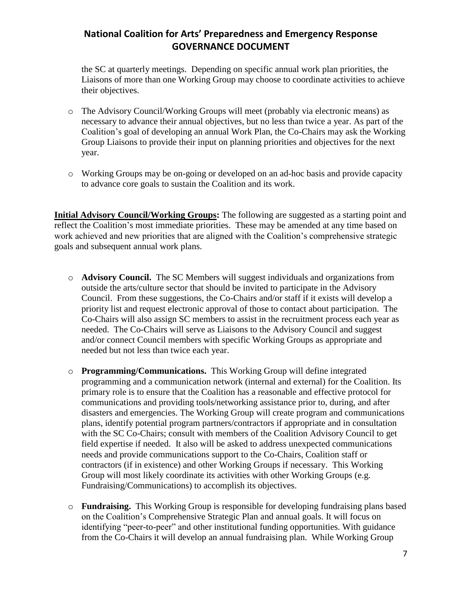the SC at quarterly meetings. Depending on specific annual work plan priorities, the Liaisons of more than one Working Group may choose to coordinate activities to achieve their objectives.

- o The Advisory Council/Working Groups will meet (probably via electronic means) as necessary to advance their annual objectives, but no less than twice a year. As part of the Coalition's goal of developing an annual Work Plan, the Co-Chairs may ask the Working Group Liaisons to provide their input on planning priorities and objectives for the next year.
- o Working Groups may be on-going or developed on an ad-hoc basis and provide capacity to advance core goals to sustain the Coalition and its work.

**Initial Advisory Council/Working Groups:** The following are suggested as a starting point and reflect the Coalition's most immediate priorities. These may be amended at any time based on work achieved and new priorities that are aligned with the Coalition's comprehensive strategic goals and subsequent annual work plans.

- o **Advisory Council.** The SC Members will suggest individuals and organizations from outside the arts/culture sector that should be invited to participate in the Advisory Council. From these suggestions, the Co-Chairs and/or staff if it exists will develop a priority list and request electronic approval of those to contact about participation. The Co-Chairs will also assign SC members to assist in the recruitment process each year as needed. The Co-Chairs will serve as Liaisons to the Advisory Council and suggest and/or connect Council members with specific Working Groups as appropriate and needed but not less than twice each year.
- o **Programming/Communications.** This Working Group will define integrated programming and a communication network (internal and external) for the Coalition. Its primary role is to ensure that the Coalition has a reasonable and effective protocol for communications and providing tools/networking assistance prior to, during, and after disasters and emergencies. The Working Group will create program and communications plans, identify potential program partners/contractors if appropriate and in consultation with the SC Co-Chairs; consult with members of the Coalition Advisory Council to get field expertise if needed. It also will be asked to address unexpected communications needs and provide communications support to the Co-Chairs, Coalition staff or contractors (if in existence) and other Working Groups if necessary. This Working Group will most likely coordinate its activities with other Working Groups (e.g. Fundraising/Communications) to accomplish its objectives.
- o **Fundraising.** This Working Group is responsible for developing fundraising plans based on the Coalition's Comprehensive Strategic Plan and annual goals. It will focus on identifying "peer-to-peer" and other institutional funding opportunities. With guidance from the Co-Chairs it will develop an annual fundraising plan. While Working Group